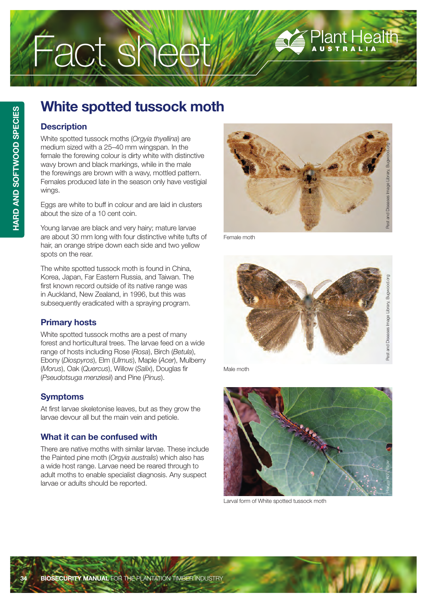# Fact sheet

## Plant Health

### **White spotted tussock moth**

#### **Description**

White spotted tussock moths (*Orgyia thyellina*) are medium sized with a 25–40 mm wingspan. In the female the forewing colour is dirty white with distinctive wavy brown and black markings, while in the male the forewings are brown with a wavy, mottled pattern. Females produced late in the season only have vestigial wings.

Eggs are white to buff in colour and are laid in clusters about the size of a 10 cent coin.

Young larvae are black and very hairy; mature larvae are about 30 mm long with four distinctive white tufts of hair, an orange stripe down each side and two yellow spots on the rear.

The white spotted tussock moth is found in China, Korea, Japan, Far Eastern Russia, and Taiwan. The first known record outside of its native range was in Auckland, New Zealand, in 1996, but this was subsequently eradicated with a spraying program.

#### **Primary hosts**

White spotted tussock moths are a pest of many forest and horticultural trees. The larvae feed on a wide range of hosts including Rose (*Rosa*), Birch (*Betula*), Ebony (*Diospyros*), Elm (*Ulmus*), Maple (*Acer*), Mulberry (*Morus*), Oak (*Quercus*), Willow (*Salix*), Douglas fir (*Pseudotsuga menziesii*) and Pine (*Pinus*).

#### **Symptoms**

At first larvae skeletonise leaves, but as they grow the larvae devour all but the main vein and petiole.

#### **What it can be confused with**

There are native moths with similar larvae. These include the Painted pine moth (*Orgyia australis*) which also has a wide host range. Larvae need be reared through to adult moths to enable specialist diagnosis. Any suspect larvae or adults should be reported.



Female moth



Male moth



Larval form of White spotted tussock moth